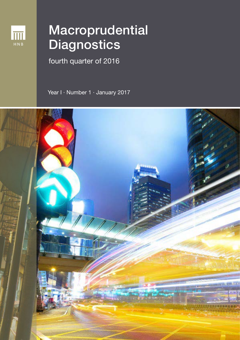

# Macroprudential **Diagnostics**

fourth quarter of 2016

Year I · Number 1 · January 2017

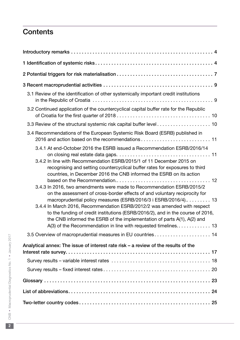# **Contents**

| 3.1 Review of the identification of other systemically important credit institutions                                                                                                                                                                                                                                                                                                   |
|----------------------------------------------------------------------------------------------------------------------------------------------------------------------------------------------------------------------------------------------------------------------------------------------------------------------------------------------------------------------------------------|
| 3.2 Continued application of the countercyclical capital buffer rate for the Republic                                                                                                                                                                                                                                                                                                  |
|                                                                                                                                                                                                                                                                                                                                                                                        |
| 3.4 Recommendations of the European Systemic Risk Board (ESRB) published in                                                                                                                                                                                                                                                                                                            |
| 3.4.1 At end-October 2016 the ESRB issued a Recommendation ESRB/2016/14<br>3.4.2 In line with Recommendation ESRB/2015/1 of 11 December 2015 on                                                                                                                                                                                                                                        |
| recognising and setting countercyclical buffer rates for exposures to third<br>countries, in December 2016 the CNB informed the ESRB on its action<br>3.4.3 In 2016, two amendments were made to Recommendation ESRB/2015/2                                                                                                                                                            |
| on the assessment of cross-border effects of and voluntary reciprocity for<br>macroprudential policy measures (ESRB/2016/3 i ESRB/2016/4) 13<br>3.4.4 In March 2016, Recommendation ESRB/2012/2 was amended with respect<br>to the funding of credit institutions (ESRB/2016/2), and in the course of 2016,<br>the CNB informed the ESRB of the implementation of parts A(1), A(2) and |
| 3.5 Overview of macroprudential measures in EU countries 14                                                                                                                                                                                                                                                                                                                            |
| Analytical annex: The issue of interest rate risk - a review of the results of the                                                                                                                                                                                                                                                                                                     |
|                                                                                                                                                                                                                                                                                                                                                                                        |
|                                                                                                                                                                                                                                                                                                                                                                                        |
|                                                                                                                                                                                                                                                                                                                                                                                        |
|                                                                                                                                                                                                                                                                                                                                                                                        |
|                                                                                                                                                                                                                                                                                                                                                                                        |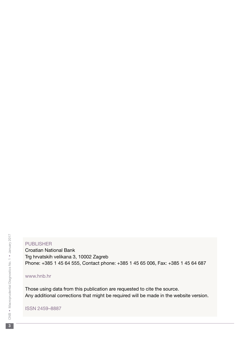#### **PUBLISHER**

Croatian National Bank Trg hrvatskih velikana 3, 10002 Zagreb Phone: +385 1 45 64 555, Contact phone: +385 1 45 65 006, Fax: +385 1 45 64 687

#### www.hnb.hr

Those using data from this publication are requested to cite the source. Any additional corrections that might be required will be made in the website version.

ISSN 2459–8887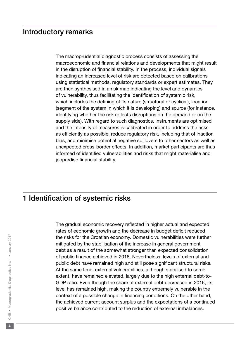## <span id="page-3-0"></span>Introductory remarks

The macroprudential diagnostic process consists of assessing the macroeconomic and financial relations and developments that might result in the disruption of financial stability. In the process, individual signals indicating an increased level of risk are detected based on calibrations using statistical methods, regulatory standards or expert estimates. They are then synthesised in a risk map indicating the level and dynamics of vulnerability, thus facilitating the identification of systemic risk, which includes the defining of its nature (structural or cyclical), location (segment of the system in which it is developing) and source (for instance, identifying whether the risk reflects disruptions on the demand or on the supply side). With regard to such diagnostics, instruments are optimised and the intensity of measures is calibrated in order to address the risks as efficiently as possible, reduce regulatory risk, including that of inaction bias, and minimise potential negative spillovers to other sectors as well as unexpected cross-border effects. In addition, market participants are thus informed of identified vulnerabilities and risks that might materialise and jeopardise financial stability.

## 1 Identification of systemic risks

The gradual economic recovery reflected in higher actual and expected rates of economic growth and the decrease in budget deficit reduced the risks for the Croatian economy. Domestic vulnerabilities were further mitigated by the stabilisation of the increase in general government debt as a result of the somewhat stronger than expected consolidation of public finance achieved in 2016. Nevertheless, levels of external and public debt have remained high and still pose significant structural risks. At the same time, external vulnerabilities, although stabilised to some extent, have remained elevated, largely due to the high external debt-to-GDP ratio. Even though the share of external debt decreased in 2016, its level has remained high, making the country extremely vulnerable in the context of a possible change in financing conditions. On the other hand, the achieved current account surplus and the expectations of a continued positive balance contributed to the reduction of external imbalances.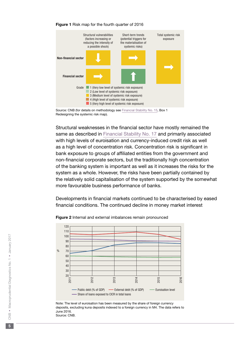

#### Figure 1 Risk map for the fourth quarter of 2016

Source: CNB (for details on methodology see [Financial Stability No. 15,](https://www.hnb.hr/documents/20182/520957/e-fs-15-2015.pdf/eae65f37-b57d-439e-8fa9-492240939772) Box 1 Redesigning the systemic risk map).

Structural weaknesses in the financial sector have mostly remained the same as described in [Financial Stability No. 17](https://www.hnb.hr/documents/20182/521139/e-fs-17-2016.pdf/ac35ced0-d625-4ace-9065-86e13b77ef1f) and primarily associated with high levels of euroisation and currency-induced credit risk as well as a high level of concentration risk. Concentration risk is significant in bank exposure to groups of affiliated entities from the government and non-financial corporate sectors, but the traditionally high concentration of the banking system is important as well as it increases the risks for the system as a whole. However, the risks have been partially contained by the relatively solid capitalisation of the system supported by the somewhat more favourable business performance of banks.

Developments in financial markets continued to be characterised by eased financial conditions. The continued decline in money market interest



Figure 2 Internal and external imbalances remain pronounced

Note: The level of euroisation has been measured by the share of foreign currency deposits, excluding kuna deposits indexed to a foreign currency in M4. The data refers to June 2016. Source: CNB.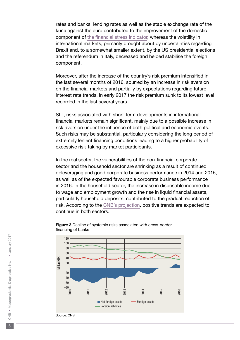rates and banks' lending rates as well as the stable exchange rate of the kuna against the euro contributed to the improvement of the domestic component of [the financial stress indicator](https://www.hnb.hr/documents/20182/121699/w-041.pdf/eee9a972-96cd-4470-990b-22e08cf2aa26), whereas the volatility in international markets, primarily brought about by uncertainties regarding Brexit and, to a somewhat smaller extent, by the US presidential elections and the referendum in Italy, decreased and helped stabilise the foreign component.

Moreover, after the increase of the country's risk premium intensified in the last several months of 2016, spurred by an increase in risk aversion on the financial markets and partially by expectations regarding future interest rate trends, in early 2017 the risk premium sunk to its lowest level recorded in the last several years.

Still, risks associated with short-term developments in international financial markets remain significant, mainly due to a possible increase in risk aversion under the influence of both political and economic events. Such risks may be substantial, particularly considering the long period of extremely lenient financing conditions leading to a higher probability of excessive risk-taking by market participants.

In the real sector, the vulnerabilities of the non-financial corporate sector and the household sector are shrinking as a result of continued deleveraging and good corporate business performance in 2014 and 2015, as well as of the expected favourable corporate business performance in 2016. In the household sector, the increase in disposable income due to wage and employment growth and the rise in liquid financial assets, particularly household deposits, contributed to the gradual reduction of risk. According to the [CNB's projection,](https://www.hnb.hr/documents/20182/1199949/eMKP_01.pdf/e8126170-ce44-4bc4-a74b-8ed92dd24782) positive trends are expected to continue in both sectors.



#### Figure 3 Decline of systemic risks associated with cross-border financing of banks

Source: CNB.

 $6<sup>1</sup>$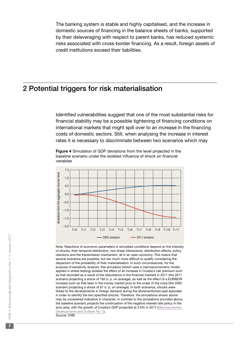<span id="page-6-0"></span>The banking system is stable and highly capitalised, and the increase in domestic sources of financing in the balance sheets of banks, supported by their deleveraging with respect to parent banks, has reduced systemic risks associated with cross-border financing. As a result, foreign assets of credit institutions exceed their liabilities.

# 2 Potential triggers for risk materialisation

Identified vulnerabilities suggest that one of the most substantial risks for financial stability may be a possible tightening of financing conditions on international markets that might spill over to an increase in the financing costs of domestic sectors. Still, when analysing the increase in interest rates it is necessary to discriminate between two scenarios which may

Figure 4 Simulation of GDP deviations from the level projected in the baseline scenario under the isolated influence of shock on financial variables



Note: Reactions of economic parameters in simulated conditions depend on the intensity of shocks, their temporal distribution, non-linear interactions, distribution effects, policy reactions and the transmission mechanism, all in an open economy. This means that several scenarios are possible, but are much more difficult to qualify considering the dispersion of the probability of their materialisation. In such circumstances, for the purpose of sensitivity analysis, this simulation (which uses a macroeconometric model applied in stress testing) isolates the effect of an increase in Croatia's risk premium such as that recorded as a result of the disturbance in the financial markets in 2011 (the 2011 scenario projecting a shock of 165 b. p. on average), as well as the effect of a EURIBOR increase such as that seen in the money market prior to the onset of the crisis (the 2005 scenario projecting a shock of 81 b. p. on average). In both scenarios, shocks were linked to the developments in foreign demand during the aforementioned past episodes in order to identify the two specified shocks. Therefore, the simulations shown above may be considered indicative in character. In contrast to the simulations provided above, the baseline scenario projects the continuation of the negative interest rate policy in the euro area, with the growth of Croatia's GDP projected at 3.0% in 2017 ([Macroeconomic](https://www.hnb.hr/documents/20182/1199949/eMKP_01.pdf/e8126170-ce44-4bc4-a74b-8ed92dd24782)  [Developments and Outlook No. 1](https://www.hnb.hr/documents/20182/1199949/eMKP_01.pdf/e8126170-ce44-4bc4-a74b-8ed92dd24782)). Source: CNB.

 $\overline{7}$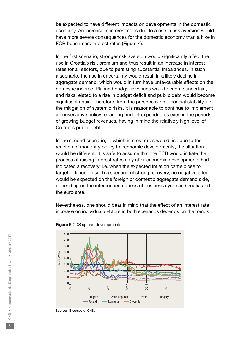be expected to have different impacts on developments in the domestic economy. An increase in interest rates due to a rise in risk aversion would have more severe consequences for the domestic economy than a hike in ECB benchmark interest rates (Figure 4).

In the first scenario, stronger risk aversion would significantly affect the rise in Croatia's risk premium and thus result in an increase in interest rates for all sectors, due to persisting substantial imbalances. In such a scenario, the rise in uncertainty would result in a likely decline in aggregate demand, which would in turn have unfavourable effects on the domestic income. Planned budget revenues would become uncertain, and risks related to a rise in budget deficit and public debt would become significant again. Therefore, from the perspective of financial stability, i.e. the mitigation of systemic risks, it is reasonable to continue to implement a conservative policy regarding budget expenditures even in the periods of growing budget revenues, having in mind the relatively high level of Croatia's public debt.

In the second scenario, in which interest rates would rise due to the reaction of monetary policy to economic developments, the situation would be different. It is safe to assume that the ECB would initiate the process of raising interest rates only after economic developments had indicated a recovery, i.e. when the expected inflation came close to target inflation. In such a scenario of strong recovery, no negative effect would be expected on the foreign or domestic aggregate demand side, depending on the interconnectedness of business cycles in Croatia and the euro area.

Nevertheless, one should bear in mind that the effect of an interest rate increase on individual debtors in both scenarios depends on the trends





Sources: Bloomberg, CNB.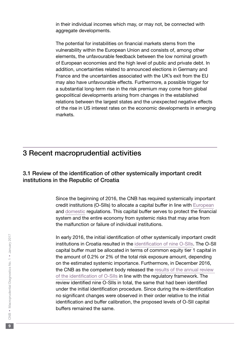<span id="page-8-0"></span>in their individual incomes which may, or may not, be connected with aggregate developments.

The potential for instabilities on financial markets stems from the vulnerability within the European Union and consists of, among other elements, the unfavourable feedback between the low nominal growth of European economies and the high level of public and private debt. In addition, uncertainties related to announced elections in Germany and France and the uncertainties associated with the UK's exit from the EU may also have unfavourable effects. Furthermore, a possible trigger for a substantial long-term rise in the risk premium may come from global geopolitical developments arising from changes in the established relations between the largest states and the unexpected negative effects of the rise in US interest rates on the economic developments in emerging markets.

# 3 Recent macroprudential activities

## 3.1 Review of the identification of other systemically important credit institutions in the Republic of Croatia

Since the beginning of 2016, the CNB has required systemically important credit institutions (O-SIIs) to allocate a capital buffer in line with [European](http://ec.europa.eu/finance/bank/regcapital/legislation-in-force/index_en.htm) and [domestic](https://www.hnb.hr/en/-/zakon-o-kreditnim-institucijama) regulations. This capital buffer serves to protect the financial system and the entire economy from systemic risks that may arise from the malfunction or failure of individual institutions.

In early 2016, the initial identification of other systemically important credit institutions in Croatia resulted in the [identification of nine O-SIIs.](https://www.hnb.hr/documents/20182/121030/tf-s-sjo-spo-pdf-e-info-vazne-ki.pdf/9e02924d-3c5a-40f1-b56e-fbddbfe4439b) The O-SII capital buffer must be allocated in terms of common equity tier 1 capital in the amount of 0.2% or 2% of the total risk exposure amount, depending on the estimated systemic importance. Furthermore, in December 2016, the CNB as the competent body released the [results of the annual review](https://www.hnb.hr/documents/20182/735490/tf-s-sjo-spo-pdf-e-info-vazne-ki-29-12-2016.pdf/bac6c873-a959-4ff1-834e-2bd6f34380ca)  [of the identification of O-SIIs](https://www.hnb.hr/documents/20182/735490/tf-s-sjo-spo-pdf-e-info-vazne-ki-29-12-2016.pdf/bac6c873-a959-4ff1-834e-2bd6f34380ca) in line with the regulatory framework. The review identified nine O-SIIs in total, the same that had been identified under the initial identification procedure. Since during the re-identification no significant changes were observed in their order relative to the initial identification and buffer calibration, the proposed levels of O-SII capital buffers remained the same.

 $\overline{9}$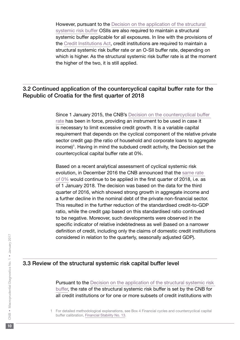<span id="page-9-0"></span>However, pursuant to the [Decision on the application of the structural](https://www.hnb.hr/documents/20182/120622/e-odluka-primjeni-zastitnog-sloja-strukturni-sistemski-rizik-61-2014.pdf/d412130f-a793-40d7-acf8-861a8787f2f0)  [systemic risk buffer](https://www.hnb.hr/documents/20182/120622/e-odluka-primjeni-zastitnog-sloja-strukturni-sistemski-rizik-61-2014.pdf/d412130f-a793-40d7-acf8-861a8787f2f0) OSIIs are also required to maintain a structural systemic buffer applicable for all exposures. In line with the provisions of the [Credit Institutions Act](https://www.hnb.hr/en/-/zakon-o-kreditnim-institucijama), credit institutions are required to maintain a structural systemic risk buffer rate or an O-SII buffer rate, depending on which is higher. As the structural systemic risk buffer rate is at the moment the higher of the two, it is still applied.

## 3.2 Continued application of the countercyclical capital buffer rate for the Republic of Croatia for the first quarter of 2018

Since 1 January 2015, the CNB's [Decision on the countercyclical buffer](http://narodne-novine.nn.hr/clanci/sluzbeni/2015_01_9_202.html)  [rate](http://narodne-novine.nn.hr/clanci/sluzbeni/2015_01_9_202.html) has been in force, providing an instrument to be used in case it is necessary to limit excessive credit growth. It is a variable capital requirement that depends on the cyclical component of the relative private sector credit gap (the ratio of household and corporate loans to aggregate  $income$ <sup>1</sup>. Having in mind the subdued credit activity, the Decision set the countercyclical capital buffer rate at 0%.

Based on a recent analytical assessment of cyclical systemic risk evolution, in December 2016 the CNB announced that the [same rate](https://www.hnb.hr/documents/20182/120622/e-priopcenje-nastavak-primjene-protuciklickog-1-tromj-2018.pdf/8680b7f5-d925-43dc-8028-958f99d1059f)  [of 0%](https://www.hnb.hr/documents/20182/120622/e-priopcenje-nastavak-primjene-protuciklickog-1-tromj-2018.pdf/8680b7f5-d925-43dc-8028-958f99d1059f) would continue to be applied in the first quarter of 2018, i.e. as of 1 January 2018. The decision was based on the data for the third quarter of 2016, which showed strong growth in aggregate income and a further decline in the nominal debt of the private non-financial sector. This resulted in the further reduction of the standardised credit-to-GDP ratio, while the credit gap based on this standardised ratio continued to be negative. Moreover, such developments were observed in the specific indicator of relative indebtedness as well (based on a narrower definition of credit, including only the claims of domestic credit institutions considered in relation to the quarterly, seasonally adjusted GDP).

#### 3.3 Review of the structural systemic risk capital buffer level

Pursuant to the Decision on the application of the structural systemic risk [buffer](https://www.hnb.hr/documents/20182/120622/e-odluka-primjeni-zastitnog-sloja-strukturni-sistemski-rizik-61-2014.pdf/d412130f-a793-40d7-acf8-861a8787f2f0), the rate of the structural systemic risk buffer is set by the CNB for all credit institutions or for one or more subsets of credit institutions with

<sup>1</sup> For detailed methodological explanations, see Box 4 Financial cycles and countercyclical capital buffer calibration, [Financial Stability No. 13.](http://www.hnb.hr/documents/20182/122368/e-fs-13-2014.pdf/2093f8aa-1310-4a45-8c5f-75596b83b18b)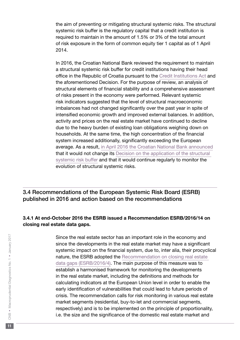<span id="page-10-0"></span>the aim of preventing or mitigating structural systemic risks. The structural systemic risk buffer is the regulatory capital that a credit institution is required to maintain in the amount of 1.5% or 3% of the total amount of risk exposure in the form of common equity tier 1 capital as of 1 April 2014.

In 2016, the Croatian National Bank reviewed the requirement to maintain a structural systemic risk buffer for credit institutions having their head office in the Republic of Croatia pursuant to the [Credit Institutions Act](https://www.hnb.hr/en/-/zakon-o-kreditnim-institucijama) and the aforementioned Decision. For the purpose of review, an analysis of structural elements of financial stability and a comprehensive assessment of risks present in the economy were performed. Relevant systemic risk indicators suggested that the level of structural macroeconomic imbalances had not changed significantly over the past year in spite of intensified economic growth and improved external balances. In addition, activity and prices on the real estate market have continued to decline due to the heavy burden of existing loan obligations weighing down on households. At the same time, the high concentration of the financial system increased additionally, significantly exceeding the European average. As a result, [in April 2016 the Croatian National Bank announced](https://www.hnb.hr/documents/20182/735490/e-preispitivanje-visine-zastitnog-sloja-kapitala-strukturni-sistemski-rizik-29-04-2016.pdf/6300c84b-d128-48be-9644-9c771ca690e1) that it would not change its [Decision on the application of the structural](https://www.hnb.hr/documents/20182/120622/e-odluka-primjeni-zastitnog-sloja-strukturni-sistemski-rizik-61-2014.pdf/d412130f-a793-40d7-acf8-861a8787f2f0)  [systemic risk buffer](https://www.hnb.hr/documents/20182/120622/e-odluka-primjeni-zastitnog-sloja-strukturni-sistemski-rizik-61-2014.pdf/d412130f-a793-40d7-acf8-861a8787f2f0) and that it would continue regularly to monitor the evolution of structural systemic risks.

3.4 Recommendations of the European Systemic Risk Board (ESRB) published in 2016 and action based on the recommendations

### 3.4.1 At end-October 2016 the ESRB issued a Recommendation ESRB/2016/14 on closing real estate data gaps.

Since the real estate sector has an important role in the economy and since the developments in the real estate market may have a significant systemic impact on the financial system, due to, inter alia, their procyclical nature, the ESRB adopted the [Recommendation on closing real estate](https://www.esrb.europa.eu/pub/pdf/recommendations/2016/ESRB_2016_14.en.pdf?d3d7b1b421c40fd8590b8a581d2b5bc6)  [data gaps \(ESRB/2016/4\)](https://www.esrb.europa.eu/pub/pdf/recommendations/2016/ESRB_2016_14.en.pdf?d3d7b1b421c40fd8590b8a581d2b5bc6). The main purpose of this measure was to establish a harmonised framework for monitoring the developments in the real estate market, including the definitions and methods for calculating indicators at the European Union level in order to enable the early identification of vulnerabilities that could lead to future periods of crisis. The recommendation calls for risk monitoring in various real estate market segments (residential, buy-to-let and commercial segments, respectively) and is to be implemented on the principle of proportionality, i.e. the size and the significance of the domestic real estate market and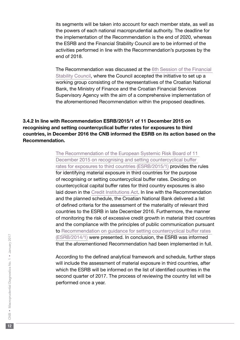<span id="page-11-0"></span>its segments will be taken into account for each member state, as well as the powers of each national macroprudential authority. The deadline for the implementation of the Recommendation is the end of 2020, whereas the ESRB and the Financial Stability Council are to be informed of the activities performed in line with the Recommendation's purposes by the end of 2018.

The Recommendation was discussed at the [6th Session of the Financial](http://www.vfs.hr/dokumenti/priopcenja/2016/e-priopcenje-27122016.pdf)  [Stability Council](http://www.vfs.hr/dokumenti/priopcenja/2016/e-priopcenje-27122016.pdf), where the Council accepted the initiative to set up a working group consisting of the representatives of the Croatian National Bank, the Ministry of Finance and the Croatian Financial Services Supervisory Agency with the aim of a comprehensive implementation of the aforementioned Recommendation within the proposed deadlines.

## 3.4.2 In line with Recommendation ESRB/2015/1 of 11 December 2015 on recognising and setting countercyclical buffer rates for exposures to third countries, in December 2016 the CNB informed the ESRB on its action based on the Recommendation.

[The Recommendation of the European Systemic Risk Board of 11](https://www.esrb.europa.eu/pub/pdf/recommendations/2016/Recommendation_ESRB_2015_1.pdf?100d9df2fa5a1a305da61fdc4a2dd053)  [December 2015 on recognising and setting countercyclical buffer](https://www.esrb.europa.eu/pub/pdf/recommendations/2016/Recommendation_ESRB_2015_1.pdf?100d9df2fa5a1a305da61fdc4a2dd053)  [rates for exposures to third countries \(ESRB/2015/1\)](https://www.esrb.europa.eu/pub/pdf/recommendations/2016/Recommendation_ESRB_2015_1.pdf?100d9df2fa5a1a305da61fdc4a2dd053) provides the rules for identifying material exposure in third countries for the purpose of recognising or setting countercyclical buffer rates. Deciding on countercyclical capital buffer rates for third country exposures is also laid down in the [Credit Institutions Act](https://www.hnb.hr/en/-/zakon-o-kreditnim-institucijama). In line with the Recommendation and the planned schedule, the Croatian National Bank delivered a list of defined criteria for the assessment of the materiality of relevant third countries to the ESRB in late December 2016. Furthermore, the manner of monitoring the risk of excessive credit growth in material third countries and the compliance with the principles of public communication pursuant to [Recommendation on guidance for setting countercyclical buffer rates](https://www.esrb.europa.eu/pub/pdf/recommendations/2014/140630_ESRB_Recommendation.en.pdf?83075f19bd8f21d8a3b8e6afe7bea49b)  [\(ESRB/2014/1\)](https://www.esrb.europa.eu/pub/pdf/recommendations/2014/140630_ESRB_Recommendation.en.pdf?83075f19bd8f21d8a3b8e6afe7bea49b) were presented. In conclusion, the ESRB was informed that the aforementioned Recommendation had been implemented in full.

According to the defined analytical framework and schedule, further steps will include the assessment of material exposure in third countries, after which the ESRB will be informed on the list of identified countries in the second quarter of 2017. The process of reviewing the country list will be performed once a year.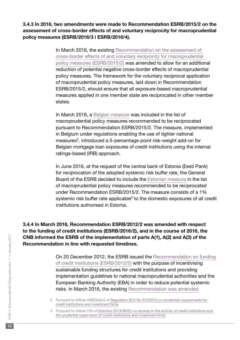<span id="page-12-0"></span>3.4.3 In 2016, two amendments were made to Recommendation ESRB/2015/2 on the assessment of cross-border effects of and voluntary reciprocity for macroprudential policy measures (ESRB/2016/3 i ESRB/2016/4).

> In March 2016, the existing [Recommendation on the assessment of](https://www.esrb.europa.eu/pub/pdf/recommendations/2016/Recommendation_ESRB_2015_2.pdf?39c04f4d361a9c77fb9bee208f3cac16)  [cross-border effects of and voluntary reciprocity for macroprudential](https://www.esrb.europa.eu/pub/pdf/recommendations/2016/Recommendation_ESRB_2015_2.pdf?39c04f4d361a9c77fb9bee208f3cac16)  [policy measures \(ESRB/2015/2\)](https://www.esrb.europa.eu/pub/pdf/recommendations/2016/Recommendation_ESRB_2015_2.pdf?39c04f4d361a9c77fb9bee208f3cac16) was amended to allow for an additional reduction of potential negative cross-border effects of macroprudential policy measures. The framework for the voluntary reciprocal application of macroprudential policy measures, laid down in Recommendation ESRB/2015/2, should ensure that all exposure-based macroprudential measures applied in one member state are reciprocated in other member states.

> In March 2016, a [Belgian measure](https://www.esrb.europa.eu/pub/pdf/recommendations/2016/ESRB_2016_3.en.pdf?46ba37f8210afc5589e3d3ea588f6440) was included in the list of macroprudential policy measures recommended to be reciprocated pursuant to Recommendation ESRB/2015/2. The measure, implemented in Belgium under regulations enabling the use of tighter national measures<sup>2</sup>, introduced a 5-percentage-point risk-weight add-on for Belgian mortgage loan exposures of credit institutions using the internal ratings-based (IRB) approach.

In June 2016, at the request of the central bank of Estonia (Eesti Pank) for reciprocation of the adopted systemic risk buffer rate, the General Board of the ESRB decided to include the [Estonian measure](https://www.esrb.europa.eu/pub/pdf/recommendations/2016/ESRB_2016_4.en.pdf) in the list of macroprudential policy measures recommended to be reciprocated under Recommendation ESRB/2015/2. The measure consists of a 1% systemic risk buffer rate applicable<sup>3</sup> to the domestic exposures of all credit institutions authorised in Estonia.

3.4.4 In March 2016, Recommendation ESRB/2012/2 was amended with respect to the funding of credit institutions (ESRB/2016/2), and in the course of 2016, the CNB informed the ESRB of the implementation of parts A(1), A(2) and A(3) of the Recommendation in line with requested timelines.

> On 20 December 2012, the ESRB issued the [Recommendation on funding](https://www.esrb.europa.eu/pub/pdf/recommendations/2012/ESRB_2012_2.en.pdf?8de3922e86b0f4863bc6e748f1f1a4c0)  [of credit institutions \(ESRB/2012/2\)](https://www.esrb.europa.eu/pub/pdf/recommendations/2012/ESRB_2012_2.en.pdf?8de3922e86b0f4863bc6e748f1f1a4c0) with the purpose of incentivising sustainable funding structures for credit institutions and providing implementation guidelines to national macroprudential authorities and the European Banking Authority (EBA) in order to reduce potential systemic risks. In March 2016, the existing [Recommendation was amended](https://www.esrb.europa.eu/pub/pdf/recommendations/2016/20160331_Recommendation_ESRB_2016.pdf?abd7c3ec2e0fcb6a643763a694833f66)

2 Pursuant to Article 458(2)(d)(vi) of [Regulation \(EU\) No 575/2013 on prudential requirements for](http://eur-lex.europa.eu/legal-content/EN/TXT/?uri=celex%3A32013R0575)  [credit institutions and investment firms](http://eur-lex.europa.eu/legal-content/EN/TXT/?uri=celex%3A32013R0575)

3 Pursuant to Article 133 of [Directive 2013/36/EU on access to the activity of credit institutions and](http://eur-lex.europa.eu/legal-content/EN/TXT/?uri=celex%3A32013L0036)  [the prudential supervision of credit institutions and investment firms](http://eur-lex.europa.eu/legal-content/EN/TXT/?uri=celex%3A32013L0036)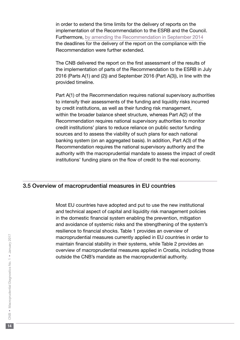<span id="page-13-0"></span>in order to extend the time limits for the delivery of reports on the implementation of the Recommendation to the ESRB and the Council. Furthermore, [by amending the Recommendation in September 2014](https://www.esrb.europa.eu/pub/pdf/recommendations/2014/140916_ESRB_Decision.en.pdf?955613af620b740169e5aaafcdb0b8ee) the deadlines for the delivery of the report on the compliance with the Recommendation were further extended.

The CNB delivered the report on the first assessment of the results of the implementation of parts of the Recommendation to the ESRB in July 2016 (Parts A(1) and (2)) and September 2016 (Part A(3)), in line with the provided timeline.

Part A(1) of the Recommendation requires national supervisory authorities to intensify their assessments of the funding and liquidity risks incurred by credit institutions, as well as their funding risk management, within the broader balance sheet structure, whereas Part A(2) of the Recommendation requires national supervisory authorities to monitor credit institutions' plans to reduce reliance on public sector funding sources and to assess the viability of such plans for each national banking system (on an aggregated basis). In addition, Part A(3) of the Recommendation requires the national supervisory authority and the authority with the macroprudential mandate to assess the impact of credit institutions' funding plans on the flow of credit to the real economy.

## 3.5 Overview of macroprudential measures in EU countries

Most EU countries have adopted and put to use the new institutional and technical aspect of capital and liquidity risk management policies in the domestic financial system enabling the prevention, mitigation and avoidance of systemic risks and the strengthening of the system's resilience to financial shocks. Table 1 provides an overview of macroprudential measures currently applied in EU countries in order to maintain financial stability in their systems, while Table 2 provides an overview of macroprudential measures applied in Croatia, including those outside the CNB's mandate as the macroprudential authority.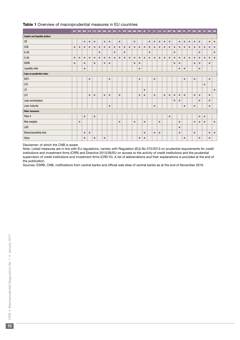#### Table 1 Overview of macroprudential measures in EU countries

|                                      | AT        | BE   BG   CY   CZ   DE   DK |           |           |           |           |           |           | $EE$ $ES$ | F1        | FR        |           |           | GR HR HU  | IE.       | $\boldsymbol{\Pi}$ | $\mathbf{H}$ | <b>LU</b> | LV        | <b>MT</b> | $\vert$ NL $\vert$ | NO        | PL.       | PT        | RO        |           |           | $SE \mid SI \mid SK \mid UK$ |           |
|--------------------------------------|-----------|-----------------------------|-----------|-----------|-----------|-----------|-----------|-----------|-----------|-----------|-----------|-----------|-----------|-----------|-----------|--------------------|--------------|-----------|-----------|-----------|--------------------|-----------|-----------|-----------|-----------|-----------|-----------|------------------------------|-----------|
| <b>Capital and liquidity buffers</b> |           |                             |           |           |           |           |           |           |           |           |           |           |           |           |           |                    |              |           |           |           |                    |           |           |           |           |           |           |                              |           |
| $\mathsf{CB}$                        |           |                             | $\bullet$ | $\bullet$ | $\bullet$ |           | $\bullet$ | $\bullet$ |           | $\bullet$ |           |           | $\bullet$ |           |           | $\bullet$          | $\bullet$    | $\bullet$ | $\bullet$ | $\bullet$ |                    | $\bullet$ | $\bullet$ | $\bullet$ | $\bullet$ | $\bullet$ |           | $\bullet$                    | $\bullet$ |
| CCB                                  | $\bullet$ | $\bullet$                   | $\bullet$ | $\bullet$ | $\bullet$ | $\bullet$ | $\bullet$ | $\bullet$ | $\bullet$ | $\bullet$ | $\bullet$ | $\bullet$ | $\bullet$ | $\bullet$ | $\bullet$ | $\bullet$          | $\bullet$    | $\bullet$ | $\bullet$ | $\bullet$ | $\bullet$          | $\bullet$ | $\bullet$ | $\bullet$ | $\bullet$ | $\bullet$ | $\bullet$ | $\bullet$                    | $\bullet$ |
| G-SII                                |           |                             |           |           |           | $\bullet$ |           |           | $\bullet$ |           | $\bullet$ |           |           |           |           | $\bullet$          |              |           |           |           | $\bullet$          |           |           |           |           | $\bullet$ |           |                              | $\bullet$ |
| $0-SII$                              | $\bullet$ | $\bullet$                   | $\bullet$ | $\bullet$ | $\bullet$ | $\bullet$ | $\bullet$ | $\bullet$ | $\bullet$ | $\bullet$ | $\bullet$ | $\bullet$ | $\bullet$ | $\bullet$ | $\bullet$ | $\bullet$          | $\bullet$    | $\bullet$ | $\bullet$ | $\bullet$ | $\bullet$          | $\bullet$ | $\bullet$ | $\bullet$ | $\bullet$ | $\bullet$ | $\bullet$ | $\bullet$                    | $\bullet$ |
| <b>SSRB</b>                          | $\bullet$ |                             | $\bullet$ |           | $\bullet$ |           | $\bullet$ | $\bullet$ |           |           |           |           | $\bullet$ | $\bullet$ |           |                    |              |           |           |           | $\bullet$          | $\bullet$ |           |           | $\bullet$ | $\bullet$ |           | $\bullet$                    |           |
| Liquidity ratio                      |           |                             | $\bullet$ |           |           |           |           |           |           |           |           |           |           | $\bullet$ |           |                    |              |           |           |           |                    | $\bullet$ | $\bullet$ |           |           | $\bullet$ |           |                              |           |
| <b>Caps on prudential ratios</b>     |           |                             |           |           |           |           |           |           |           |           |           |           |           |           |           |                    |              |           |           |           |                    |           |           |           |           |           |           |                              |           |
| <b>DSTI</b>                          |           |                             |           | $\bullet$ |           |           |           | $\bullet$ |           |           |           |           |           | $\bullet$ |           |                    | $\bullet$    |           |           |           |                    |           | $\bullet$ |           | $\bullet$ |           |           | $\bullet$                    |           |
| <b>LTD</b>                           |           |                             |           |           |           |           |           |           |           |           |           |           |           |           |           |                    |              |           |           |           |                    |           |           |           |           |           | $\bullet$ |                              |           |
| LTI                                  |           |                             |           |           |           |           |           |           |           |           |           |           |           |           | $\bullet$ |                    |              |           |           |           |                    |           |           |           |           |           |           |                              | $\bullet$ |
| LTV                                  |           |                             |           | $\bullet$ | $\bullet$ |           | $\bullet$ | $\bullet$ |           | $\bullet$ |           |           |           | $\bullet$ | $\bullet$ |                    | $\bullet$    |           | $\bullet$ | $\bullet$ | $\bullet$          | $\bullet$ | $\bullet$ |           | $\bullet$ | $\bullet$ |           | $\bullet$                    |           |
| Loan amortisation                    |           |                             |           |           |           |           |           |           |           |           |           |           |           |           |           |                    |              |           |           |           | $\bullet$          | $\bullet$ |           |           |           | $\bullet$ |           | $\bullet$                    |           |
| Loan maturity                        |           |                             |           |           |           |           |           | $\bullet$ |           |           |           |           |           |           |           |                    | $\bullet$    |           |           |           |                    |           | $\bullet$ |           | $\bullet$ |           |           | $\bullet$                    |           |
| <b>Other measures</b>                |           |                             |           |           |           |           |           |           |           |           |           |           |           |           |           |                    |              |           |           |           |                    |           |           |           |           |           |           |                              |           |
| Pillar II                            |           |                             | $\bullet$ |           | $\bullet$ |           |           |           |           |           |           |           |           |           |           |                    |              |           |           | $\bullet$ |                    |           |           |           |           | $\bullet$ | $\bullet$ |                              |           |
| Risk weights                         |           | $\bullet$                   |           |           |           |           |           |           |           | $\bullet$ |           |           | $\bullet$ |           | $\bullet$ |                    |              | $\bullet$ |           |           |                    | $\bullet$ |           |           | $\bullet$ | $\bullet$ | $\bullet$ |                              | $\bullet$ |
| LGD                                  |           |                             |           |           |           |           |           |           |           |           |           |           |           |           |           |                    |              |           |           |           |                    | $\bullet$ |           |           |           |           |           |                              |           |
| Stress/sensitivity test              |           |                             | $\bullet$ | $\bullet$ |           |           |           |           |           |           |           |           |           |           | $\bullet$ |                    | $\bullet$    | $\bullet$ |           |           |                    | $\bullet$ |           |           | $\bullet$ |           |           | $\bullet$                    | $\bullet$ |
| Other                                |           |                             | $\bullet$ |           | $\bullet$ |           | $\bullet$ |           |           |           |           |           |           | $\bullet$ | $\bullet$ |                    |              |           |           |           |                    |           | $\bullet$ |           |           | $\bullet$ |           | $\bullet$                    |           |

Disclaimer: of which the CNB is aware.

Note: Listed measures are in line with EU regulations, namely with Regulation (EU) No 575/2013 on prudential requirements for credit institutions and investment firms (CRR) and Directive 2013/36/EU on access to the activity of credit institutions and the prudential supervision of credit institutions and investment firms (CRD IV). A list of abbreviations and their explanations is provided at the end of the publication.

Sources: ESRB, CNB, notifications from central banks and official web sites of central banks as at the end of November 2016.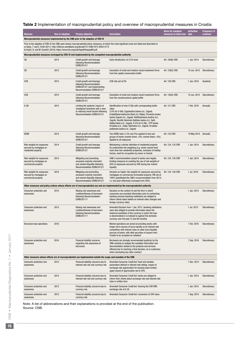#### Table 2 Implementation of macroprudential policy and overview of macroprudential measures in Croatia

| <b>Measure</b>                                                                                                                                                                                                                                                                                                                                | Year of adoption | <b>Primary objective</b>                                                                                                                 | <b>Description</b>                                                                                                                                                                                                                                                                                                                                                                                                                                  | <b>Basis for standard</b><br>measures in Union law date | <b>Activation</b>    | <b>Frequency of</b><br>revisions |  |  |  |  |  |  |  |  |
|-----------------------------------------------------------------------------------------------------------------------------------------------------------------------------------------------------------------------------------------------------------------------------------------------------------------------------------------------|------------------|------------------------------------------------------------------------------------------------------------------------------------------|-----------------------------------------------------------------------------------------------------------------------------------------------------------------------------------------------------------------------------------------------------------------------------------------------------------------------------------------------------------------------------------------------------------------------------------------------------|---------------------------------------------------------|----------------------|----------------------------------|--|--|--|--|--|--|--|--|
|                                                                                                                                                                                                                                                                                                                                               |                  | Macroprudential measures implemented by the CNB prior to the adoption of CRD IV                                                          |                                                                                                                                                                                                                                                                                                                                                                                                                                                     |                                                         |                      |                                  |  |  |  |  |  |  |  |  |
| Prior to the adoption of CRD-IV, the CNB used various macroprudential policy measures, of which the most significant ones are listed and described in:<br>a) Galac, T. and E. Kraft (2011): http://elibrary.worldbank.org/doi/pdf/10.1596/1813-9450-5772<br>b) Vujčić, B. and M. Dumičić (2016): https://www.bis.org/publ/bppdf/bispap86l.pdf |                  |                                                                                                                                          |                                                                                                                                                                                                                                                                                                                                                                                                                                                     |                                                         |                      |                                  |  |  |  |  |  |  |  |  |
| Macroprudential measures envisaged by CRD-IV and implemented by the competent macroprudential authority                                                                                                                                                                                                                                       |                  |                                                                                                                                          |                                                                                                                                                                                                                                                                                                                                                                                                                                                     |                                                         |                      |                                  |  |  |  |  |  |  |  |  |
| CВ                                                                                                                                                                                                                                                                                                                                            | 2014             | Credit growth and leverage<br>following Recommendation<br>ESRB/2013/1                                                                    | Early introduction: at 2.5% level                                                                                                                                                                                                                                                                                                                                                                                                                   | Art. 160(6) CRD                                         | 1 Jan. 2014          | Discretionary                    |  |  |  |  |  |  |  |  |
| CB                                                                                                                                                                                                                                                                                                                                            | 2015             | Credit growth and leverage<br>following Recommendation<br>ESRB/2013/1                                                                    | Exemption of small and medium-sized investment firms<br>from the capital conservation buffer                                                                                                                                                                                                                                                                                                                                                        | Art. 129(2) CRD                                         |                      | 10 Jun. 2015 Discretionary       |  |  |  |  |  |  |  |  |
| CCB                                                                                                                                                                                                                                                                                                                                           | 2015             | Credit growth and leverage<br>following Recommendation<br>ESRB/2013/1 and implementing<br>Recommendation ESRB/2014/1                     | CCB rate set at 0%                                                                                                                                                                                                                                                                                                                                                                                                                                  | Art. 136 CRD                                            | 1 Jan. 2016          | Quarterly                        |  |  |  |  |  |  |  |  |
| CCB                                                                                                                                                                                                                                                                                                                                           | 2015             | Credit growth and leverage<br>following Recommendation<br>ESRB/2013/1                                                                    | Exemption of small and medium-sized investment firms<br>from the countercyclical capital buffer                                                                                                                                                                                                                                                                                                                                                     | Art. 130(2) CRD                                         |                      | 10 Jun. 2015 Discretionary       |  |  |  |  |  |  |  |  |
| 0-SII                                                                                                                                                                                                                                                                                                                                         | 2015             | Limiting the systemic impact of<br>misaligned incentives with a view<br>to reducing moral hazard following<br>Recommendation ESRB/2013/1 | Identification of nine O-SIIs with corresponding buffer<br>rates:<br>2.0% for O-SIIs: Zagrebačka banka d.d., Zagreb,<br>Erste&Steiermärkische Bank d.d. Rijeka, Privredna banka<br>banka Zagreb d.d., Zagreb, Raiffeisenbank Austria d.d.,<br>Zagreb, Société Générale-Splitska banka d.d., Split,<br>Addiko Bank d.d., Zagreb; 0.2% for 0-SIIs: OTP banka<br>Hrvatska d.d., Zadar, Sberbank d.d., Zagreb, Hrvatska<br>poštanska banka d.d., Zagreb | Art. 131 CRD                                            | 1 Feb. 2016          | Annually                         |  |  |  |  |  |  |  |  |
| <b>SSRB</b>                                                                                                                                                                                                                                                                                                                                   | 2014             | Credit growth and leverage<br>following Recommendation<br>ESRB/2013/1                                                                    | Two SSRB rates (1.5% and 3%) applied to two sub-<br>groups of banks (market share <5%, market share >5%).<br>Applied to all exposures                                                                                                                                                                                                                                                                                                               | Art. 133 CRD                                            | 19 May 2014 Annually |                                  |  |  |  |  |  |  |  |  |
| Risk weights for exposures<br>secured by mortgages on<br>residential property                                                                                                                                                                                                                                                                 | 2014             | Credit growth and leverage<br>following Recommendation<br>ESRB/2013/1                                                                    | Maintaining a stricter definition of residential property<br>for preferential risk weighting (e.g. owner cannot have<br>more than two residential properties, exclusion of holiday<br>homes, need for occupation by owner or tenant)                                                                                                                                                                                                                | Art. 124, 125 CRR                                       | 1 Jan. 2014          | <b>Discretionary</b>             |  |  |  |  |  |  |  |  |
| Risk weights for exposures<br>secured by mortgages on<br>commercial property                                                                                                                                                                                                                                                                  | 2014             | Mitigating and preventing<br>excessive maturity mismatch<br>and market illiquidity following<br>Recommendation ESRB/2013/1               | CNB's recommendation issued to banks (non-legally<br>binding measure) on avoiding the use of risk weights of<br>50% to exposures secured by CRE during low market<br>liquidity                                                                                                                                                                                                                                                                      | Art. 124, 126 CRR                                       | 1 Jan. 2014          | Discretionary                    |  |  |  |  |  |  |  |  |
| Risk weights for exposures<br>secured by mortgages on<br>commercial property                                                                                                                                                                                                                                                                  | 2016             | Mitigating and preventing<br>excessive maturity mismatch<br>and market illiquidity following<br>Recommendation ESRB/2013/1               | Decision on higher risk weights for exposures secured by<br>mortgages on commercial immovable property. RW set at<br>100% (substituted the CNB's recommendation from 2014,<br>i.e. has been effectively increased from 50%)                                                                                                                                                                                                                         | Art. 124, 126 CRR                                       | 1 Jul. 2016          | <b>Discretionary</b>             |  |  |  |  |  |  |  |  |
| Other measures and policy actions whose effects are of macroprudential use and are implemented by the macroprudential authority                                                                                                                                                                                                               |                  |                                                                                                                                          |                                                                                                                                                                                                                                                                                                                                                                                                                                                     |                                                         |                      |                                  |  |  |  |  |  |  |  |  |
| Consumer protection and<br>awareness                                                                                                                                                                                                                                                                                                          | 2013             | Raising risk awareness and<br>creditworthiness of borrowers<br>following Recommendation<br>ESRB/2011/1                                   | Decision on the content of and the form in which<br>consumers are provided information prior to contracting<br>banking services (banking institutions are obliged to<br>inform clients about details on interest rates changes and<br>foreign currency risks)                                                                                                                                                                                       |                                                         | 1 Jan. 2013          | <b>Discretionary</b>             |  |  |  |  |  |  |  |  |
| Consumer protection and<br>awareness                                                                                                                                                                                                                                                                                                          | 2013             | Raising risk awareness and<br>creditworthiness of borrowers<br>following Recommendation<br>ESRB/2011/1                                   | Amended Decision from 1 Jan. 2013 (banking institutions<br>were also obliged to provide information about the<br>historical oscillation of the currency in which the loan<br>is denominated or is indexed to against the domestic<br>currency over the past 12 and 60 months)                                                                                                                                                                       |                                                         | 1 Jul. 2013          | Discretionary                    |  |  |  |  |  |  |  |  |
| Structural repo operations                                                                                                                                                                                                                                                                                                                    | 2016             |                                                                                                                                          | Market operations are aimed at providing banks with<br>longer-term sources of kuna liquidity at an interest rate<br>competitive with interest rates on other kuna liquidity<br>sources of banks, with debt securities of issuers from<br>Croatia to be accepted as collateral                                                                                                                                                                       |                                                         | 1 Feb. 2016          | Discretionary                    |  |  |  |  |  |  |  |  |
| Consumer protection and<br>awareness                                                                                                                                                                                                                                                                                                          | 2016             | Financial stability concerns<br>regarding risk awareness of<br>borrowers                                                                 | Borrowers are strongly recommended (publicly) by the<br>CNB carefully to analyse the available information and<br>documentation related to the products and services<br>offered prior to reaching a final decision, as is customary<br>when concluding any other contract                                                                                                                                                                           |                                                         | 1 Sep. 2016          | Discretionary                    |  |  |  |  |  |  |  |  |
| Other measures whose effects are of macroprudential use implemented outside the scope and mandate of the CNB                                                                                                                                                                                                                                  |                  |                                                                                                                                          |                                                                                                                                                                                                                                                                                                                                                                                                                                                     |                                                         |                      |                                  |  |  |  |  |  |  |  |  |
| Consumer protection and<br>awareness                                                                                                                                                                                                                                                                                                          | 2013             | Financial stability concerns due to<br>interest rate risk and currency risk                                                              | Amended Consumer Credit Act: fixed and variable<br>parameters defined in interest rate setting, impact of<br>exchange rate appreciation for housing loans limited,<br>upper bound of appreciation set to 20%                                                                                                                                                                                                                                        |                                                         | 1 Dec. 2013          | <b>Discretionary</b>             |  |  |  |  |  |  |  |  |
| Consumer protection and<br>awareness                                                                                                                                                                                                                                                                                                          | 2014             | Financial stability concerns due to<br>interest rate risk and currency risk                                                              | Amended Consumer Credit Act: banks are obliged to<br>inform their clients about exchange rate and interest rate<br>risks in written form                                                                                                                                                                                                                                                                                                            |                                                         | 1 Jan. 2014          | Discretionary                    |  |  |  |  |  |  |  |  |
| Consumer protection and<br>awareness                                                                                                                                                                                                                                                                                                          | 2015             | Financial stability concerns due to<br>currency risk                                                                                     | Amended Consumer Credit Act: freezing the CHF/HRK<br>exchange rate at 6.39                                                                                                                                                                                                                                                                                                                                                                          |                                                         | 1 Jan. 2015          | <b>Discretionary</b>             |  |  |  |  |  |  |  |  |
| Consumer protection and<br>awareness                                                                                                                                                                                                                                                                                                          | 2015             | Financial stability concerns due to<br>currency risk                                                                                     | Amended Consumer Credit Act: conversion of CHF Ioans                                                                                                                                                                                                                                                                                                                                                                                                |                                                         | 1 Sep. 2015          | Discretionary                    |  |  |  |  |  |  |  |  |

Note: A list of abbreviations and their explanations is provided at the end of the publication. Source: CNB.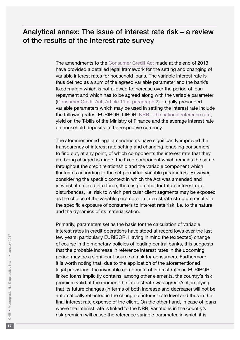# <span id="page-16-0"></span>Analytical annex: The issue of interest rate risk – a review of the results of the Interest rate survey

The amendments to the [Consumer Credit Act](http://www.zakon.hr/z/517/Zakon-o-potro%C5%A1a%C4%8Dkom-kreditiranju) made at the end of 2013 have provided a detailed legal framework for the setting and changing of variable interest rates for household loans. The variable interest rate is thus defined as a sum of the agreed variable parameter and the bank's fixed margin which is not allowed to increase over the period of loan repayment and which has to be agreed along with the variable parameter ([Consumer Credit Act, Article 11.a, paragraph 2\)](http://www.zakon.hr/z/517/Zakon-o-potro%C5%A1a%C4%8Dkom-kreditiranju). Legally prescribed variable parameters which may be used in setting the interest rate include the following rates: EURIBOR, LIBOR, [NRR – the national reference rate](http://www.hub.hr/hr/nrs), yield on the T-bills of the Ministry of Finance and the average interest rate on household deposits in the respective currency.

The aforementioned legal amendments have significantly improved the transparency of interest rate setting and changing, enabling consumers to find out, at any point, of which components the interest rate that they are being charged is made: the fixed component which remains the same throughout the credit relationship and the variable component which fluctuates according to the set permitted variable parameters. However, considering the specific context in which the Act was amended and in which it entered into force, there is potential for future interest rate disturbances, i.e. risk to which particular client segments may be exposed as the choice of the variable parameter in interest rate structure results in the specific exposure of consumers to interest rate risk, i.e. to the nature and the dynamics of its materialisation.

Primarily, parameters set as the basis for the calculation of variable interest rates in credit operations have stood at record lows over the last few years, particularly EURIBOR. Having in mind the (expected) change of course in the monetary policies of leading central banks, this suggests that the probable increase in reference interest rates in the upcoming period may be a significant source of risk for consumers. Furthermore, it is worth noting that, due to the application of the aforementioned legal provisions, the invariable component of interest rates in EURIBORlinked loans implicitly contains, among other elements, the country's risk premium valid at the moment the interest rate was agreed/set, implying that its future changes (in terms of both increase and decrease) will not be automatically reflected in the change of interest rate level and thus in the final interest rate expense of the client. On the other hand, in case of loans where the interest rate is linked to the NRR, variations in the country's risk premium will cause the reference variable parameter, in which it is

 $17$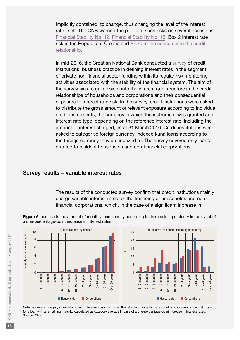<span id="page-17-0"></span>implicitly contained, to change, thus changing the level of the interest rate itself. The CNB warned the public of such risks on several occasions: [Financial Stability No. 12](http://old.hnb.hr/publikac/financijska stabilnost/e-fs-12-2014.pdf), [Financial Stability No. 15](https://www.hnb.hr/documents/20182/520957/e-fs-15-2015.pdf/eae65f37-b57d-439e-8fa9-492240939772), Box 2 Interest rate risk in the Republic of Croatia and [Risks to the consumer in the credit](https://www.hnb.hr/en/-/rizici-za-potrosaca-u-kreditnom-odnosu)  [relationship](https://www.hnb.hr/en/-/rizici-za-potrosaca-u-kreditnom-odnosu).

In mid-2016, the Croatian National Bank conducted a [survey](http://www.hnb.hr/temeljne-funkcije/financijska-stabilnost/izvjescivanje) of credit institutions' business practice in defining interest rates in the segment of private non-financial sector funding within its regular risk monitoring activities associated with the stability of the financial system. The aim of the survey was to gain insight into the interest rate structure in the credit relationships of households and corporations and their consequential exposure to interest rate risk. In the survey, credit institutions were asked to distribute the gross amount of relevant exposure according to individual credit instruments, the currency in which the instrument was granted and interest rate type, depending on the reference interest rate, including the amount of interest charged, as at 31 March 2016. Credit institutions were asked to categorise foreign currency-indexed kuna loans according to the foreign currency they are indexed to. The survey covered only loans granted to resident households and non-financial corporations.

#### Survey results – variable interest rates

The results of the conducted survey confirm that credit institutions mainly charge variable interest rates for the financing of households and nonfinancial corporations, which, in the case of a significant increase in

Figure 6 Increase in the amount of monthly loan annuity according to its remaining maturity in the event of a one-percentage-point increase in interest rates



Note: For every category of remaining maturity shown on the x axis, the relative change in the amount of loan annuity was calculated for a loan with a remaining maturity calculated as category average in case of a one-percentage-point increase in interest rates. Source: CNB.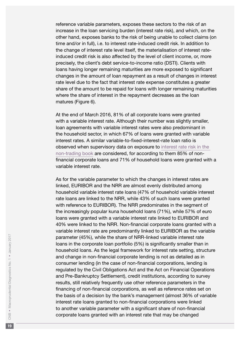reference variable parameters, exposes these sectors to the risk of an increase in the loan servicing burden (interest rate risk), and which, on the other hand, exposes banks to the risk of being unable to collect claims (on time and/or in full), i.e. to interest rate-induced credit risk. In addition to the change of interest rate level itself, the materialisation of interest rateinduced credit risk is also affected by the level of client income, or, more precisely, the client's debt service-to-income ratio (DSTI). Clients with loans having longer remaining maturities are more exposed to significant changes in the amount of loan repayment as a result of changes in interest rate level due to the fact that interest rate expense constitutes a greater share of the amount to be repaid for loans with longer remaining maturities where the share of interest in the repayment decreases as the loan matures (Figure 6).

At the end of March 2016, 81% of all corporate loans were granted with a variable interest rate. Although their number was slightly smaller, loan agreements with variable interest rates were also predominant in the household sector, in which 67% of loans were granted with variable interest rates. A similar variable-to-fixed-interest-rate loan ratio is observed when supervisory data on exposure to [interest rate risk in the](http://old.hnb.hr/propisi/odluke-nadzor-kontrola/2014/eng/e-odluka-upravljanje-kamatnim-rizikom-u-knjizi-banke-2014.pdf)  [non-trading book](http://old.hnb.hr/propisi/odluke-nadzor-kontrola/2014/eng/e-odluka-upravljanje-kamatnim-rizikom-u-knjizi-banke-2014.pdf) are considered, for according to them 85% of nonfinancial corporate loans and 71% of household loans were granted with a variable interest rate.

As for the variable parameter to which the changes in interest rates are linked, EURIBOR and the NRR are almost evenly distributed among household variable interest rate loans (47% of household variable interest rate loans are linked to the NRR, while 43% of such loans were granted with reference to EURIBOR). The NRR predominates in the segment of the increasingly popular kuna household loans (71%), while 57% of euro loans were granted with a variable interest rate linked to EURIBOR and 40% were linked to the NRR. Non-financial corporate loans granted with a variable interest rate are predominantly linked to EURIBOR as the variable parameter (45%), while the share of NRR-linked variable interest rate loans in the corporate loan portfolio (5%) is significantly smaller than in household loans. As the legal framework for interest rate setting, structure and change in non-financial corporate lending is not as detailed as in consumer lending (in the case of non-financial corporations, lending is regulated by the Civil Obligations Act and the Act on Financial Operations and Pre-Bankruptcy Settlement), credit institutions, according to survey results, still relatively frequently use other reference parameters in the financing of non-financial corporations, as well as reference rates set on the basis of a decision by the bank's management (almost 36% of variable interest rate loans granted to non-financial corporations were linked to another variable parameter with a significant share of non-financial corporate loans granted with an interest rate that may be changed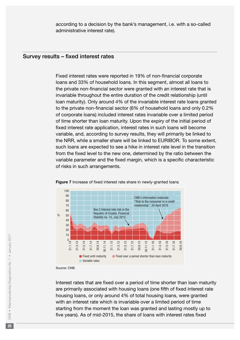according to a decision by the bank's management, i.e. with a so-called administrative interest rate).

#### <span id="page-19-0"></span>Survey results – fixed interest rates

Fixed interest rates were reported in 19% of non-financial corporate loans and 33% of household loans. In this segment, almost all loans to the private non-financial sector were granted with an interest rate that is invariable throughout the entire duration of the credit relationship (until loan maturity). Only around 4% of the invariable interest rate loans granted to the private non-financial sector (6% of household loans and only 0.2% of corporate loans) included interest rates invariable over a limited period of time shorter than loan maturity. Upon the expiry of the initial period of fixed interest rate application, interest rates in such loans will become variable, and, according to survey results, they will primarily be linked to the NRR, while a smaller share will be linked to EURIBOR. To some extent, such loans are expected to see a hike in interest rate level in the transition from the fixed level to the new one, determined by the ratio between the variable parameter and the fixed margin, which is a specific characteristic of risks in such arrangements.



#### Figure 7 Increase of fixed interest rate share in newly-granted loans

Source: CNB.

Interest rates that are fixed over a period of time shorter than loan maturity are primarily associated with housing loans (one fifth of fixed interest rate housing loans, or only around 4% of total housing loans, were granted with an interest rate which is invariable over a limited period of time starting from the moment the loan was granted and lasting mostly up to five years). As of mid-2015, the share of loans with interest rates fixed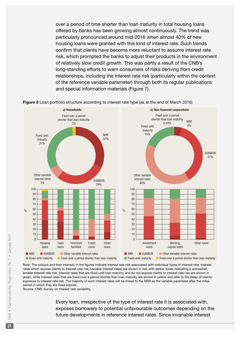over a period of time shorter than loan maturity in total housing loans offered by banks has been growing almost continuously. The trend was particularly pronounced around mid-2016 when almost 40% of new housing loans were granted with this kind of interest rate. Such trends confirm that clients have become more reluctant to assume interest rate risk, which prompted the banks to adjust their products in the environment of relatively slow credit growth. This was partly a result of the CNB's long-standing efforts to warn consumers of risks deriving from credit relationships, including the interest rate risk (particularly within the context of the reference variable parameter) through both its regular publications and special information materials (Figure 7).



Figure 8 Loan portfolio structure according to interest rate type (as at the end of March 2016)

Note: The colours and their intensity in the figures indicate interest rate risk associated with individual types of interest rate. Interest rates which expose clients to interest rate risk (variable interest rates) are shown in red, with darker tones indicating a somewhat smaller interest rate risk. Interest rates that are fixed until loan maturity and do not expose clients to interest rate risk are shown in green, while interest rates that are fixed over a period shorter than loan maturity are shown in yellow and refer to the delay of clients' exposure to interest rate risk. The majority of such interest rates will be linked to the NRR as the variable parameter after the initial period in which they are fixed expires.

Source: CNB, Survey on interest rate variability.

Every loan, irrespective of the type of interest rate it is associated with, exposes borrowers to potential unfavourable outcomes depending on the future developments in reference interest rates. Since invariable interest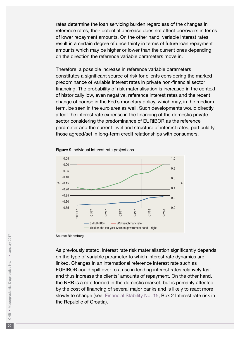rates determine the loan servicing burden regardless of the changes in reference rates, their potential decrease does not affect borrowers in terms of lower repayment amounts. On the other hand, variable interest rates result in a certain degree of uncertainty in terms of future loan repayment amounts which may be higher or lower than the current ones depending on the direction the reference variable parameters move in.

Therefore, a possible increase in reference variable parameters constitutes a significant source of risk for clients considering the marked predominance of variable interest rates in private non-financial sector financing. The probability of risk materialisation is increased in the context of historically low, even negative, reference interest rates and the recent change of course in the Fed's monetary policy, which may, in the medium term, be seen in the euro area as well. Such developments would directly affect the interest rate expense in the financing of the domestic private sector considering the predominance of EURIBOR as the reference parameter and the current level and structure of interest rates, particularly those agreed/set in long-term credit relationships with consumers.



Figure 9 Individual interest rate projections

Source: Bloomberg.

As previously stated, interest rate risk materialisation significantly depends on the type of variable parameter to which interest rate dynamics are linked. Changes in an international reference interest rate such as EURIBOR could spill over to a rise in lending interest rates relatively fast and thus increase the clients' amounts of repayment. On the other hand, the NRR is a rate formed in the domestic market, but is primarily affected by the cost of financing of several major banks and is likely to react more slowly to change (see: [Financial Stability No. 15](https://www.hnb.hr/documents/20182/520957/e-fs-15-2015.pdf/eae65f37-b57d-439e-8fa9-492240939772), Box 2 Interest rate risk in the Republic of Croatia).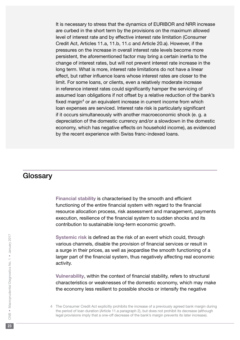<span id="page-22-0"></span>It is necessary to stress that the dynamics of EURIBOR and NRR increase are curbed in the short term by the provisions on the maximum allowed level of interest rate and by effective interest rate limitation (Consumer Credit Act, Articles 11.a, 11.b, 11.c and Article 20.a). However, if the pressures on the increase in overall interest rate levels become more persistent, the aforementioned factor may bring a certain inertia to the change of interest rates, but will not prevent interest rate increase in the long term. What is more, interest rate limitations do not have a linear effect, but rather influence loans whose interest rates are closer to the limit. For some loans, or clients, even a relatively moderate increase in reference interest rates could significantly hamper the servicing of assumed loan obligations if not offset by a relative reduction of the bank's fixed margin<sup>4</sup> or an equivalent increase in current income from which loan expenses are serviced. Interest rate risk is particularly significant if it occurs simultaneously with another macroeconomic shock (e. g. a depreciation of the domestic currency and/or a slowdown in the domestic economy, which has negative effects on household income), as evidenced by the recent experience with Swiss franc-indexed loans.

# **Glossary**

Financial stability is characterised by the smooth and efficient functioning of the entire financial system with regard to the financial resource allocation process, risk assessment and management, payments execution, resilience of the financial system to sudden shocks and its contribution to sustainable long-term economic growth.

Systemic risk is defined as the risk of an event which could, through various channels, disable the provision of financial services or result in a surge in their prices, as well as jeopardise the smooth functioning of a larger part of the financial system, thus negatively affecting real economic activity.

Vulnerability, within the context of financial stability, refers to structural characteristics or weaknesses of the domestic economy, which may make the economy less resilient to possible shocks or intensify the negative

<sup>4</sup> The Consumer Credit Act explicitly prohibits the increase of a previously agreed bank margin during the period of loan duration (Article 11.a paragraph 2), but does not prohibit its decrease (although legal provisions imply that a one-off decrease of the bank's margin prevents its later increase).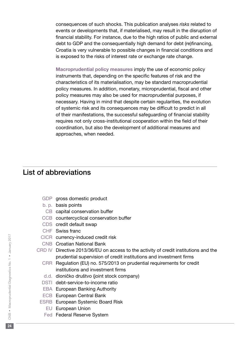<span id="page-23-0"></span>consequences of such shocks. This publication analyses *risks* related to events or developments that, if materialised, may result in the disruption of financial stability. For instance, due to the high ratios of public and external debt to GDP and the consequentially high demand for debt (re)financing, Croatia is very vulnerable to possible changes in financial conditions and is exposed to the risks of interest rate or exchange rate change.

Macroprudential policy measures imply the use of economic policy instruments that, depending on the specific features of risk and the characteristics of its materialisation, may be standard macroprudential policy measures. In addition, monetary, microprudential, fiscal and other policy measures may also be used for macroprudential purposes, if necessary. Having in mind that despite certain regularities, the evolution of systemic risk and its consequences may be difficult to predict in all of their manifestations, the successful safeguarding of financial stability requires not only cross-institutional cooperation within the field of their coordination, but also the development of additional measures and approaches, when needed.

## List of abbreviations

- GDP gross domestic product
- b. p. basis points
- CB capital conservation buffer
- CCB countercyclical conservation buffer
- CDS credit default swap
- CHF Swiss franc
- CICR currency-induced credit risk
- CNB Croatian National Bank
- CRD IV Directive 2013/36/EU on access to the activity of credit institutions and the prudential supervision of credit institutions and investment firms
	- CRR Regulation (EU) no. 575/2013 on prudential requirements for credit institutions and investment firms
	- d.d. dioničko društvo (joint stock company)
	- DSTI debt-service-to-income ratio
	- EBA European Banking Authority
	- ECB European Central Bank
	- ESRB European Systemic Board Risk
		- EU European Union
		- Fed Federal Reserve System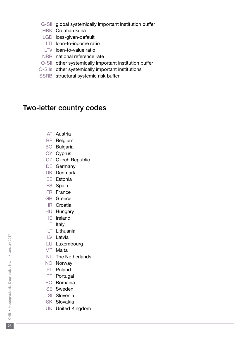- <span id="page-24-0"></span>G-SII global systemically important institution buffer
- HRK Croatian kuna
- LGD loss-given-default
	- LTI loan-to-income ratio
- LTV loan-to-value ratio
- NRR national reference rate
- O-SII other systemically important institution buffer
- O-SIIs other systemically important institutions
- SSRB structural systemic risk buffer

# Two-letter country codes

- AT Austria
- BE Belgium
- BG Bulgaria
- CY Cyprus
- CZ Czech Republic
- DE Germany
- DK Denmark
- EE Estonia
- ES Spain
- FR France
- GR Greece
- HR Croatia
- HU Hungary
- IE Ireland
- IT Italy
- LT Lithuania
- LV Latvia
- LU Luxembourg
- MT Malta
- NL The Netherlands
- NO Norway
- PL Poland
- PT Portugal
- RO Romania
- SE Sweden
- SI Slovenia
- SK Slovakia
- UK United Kingdom